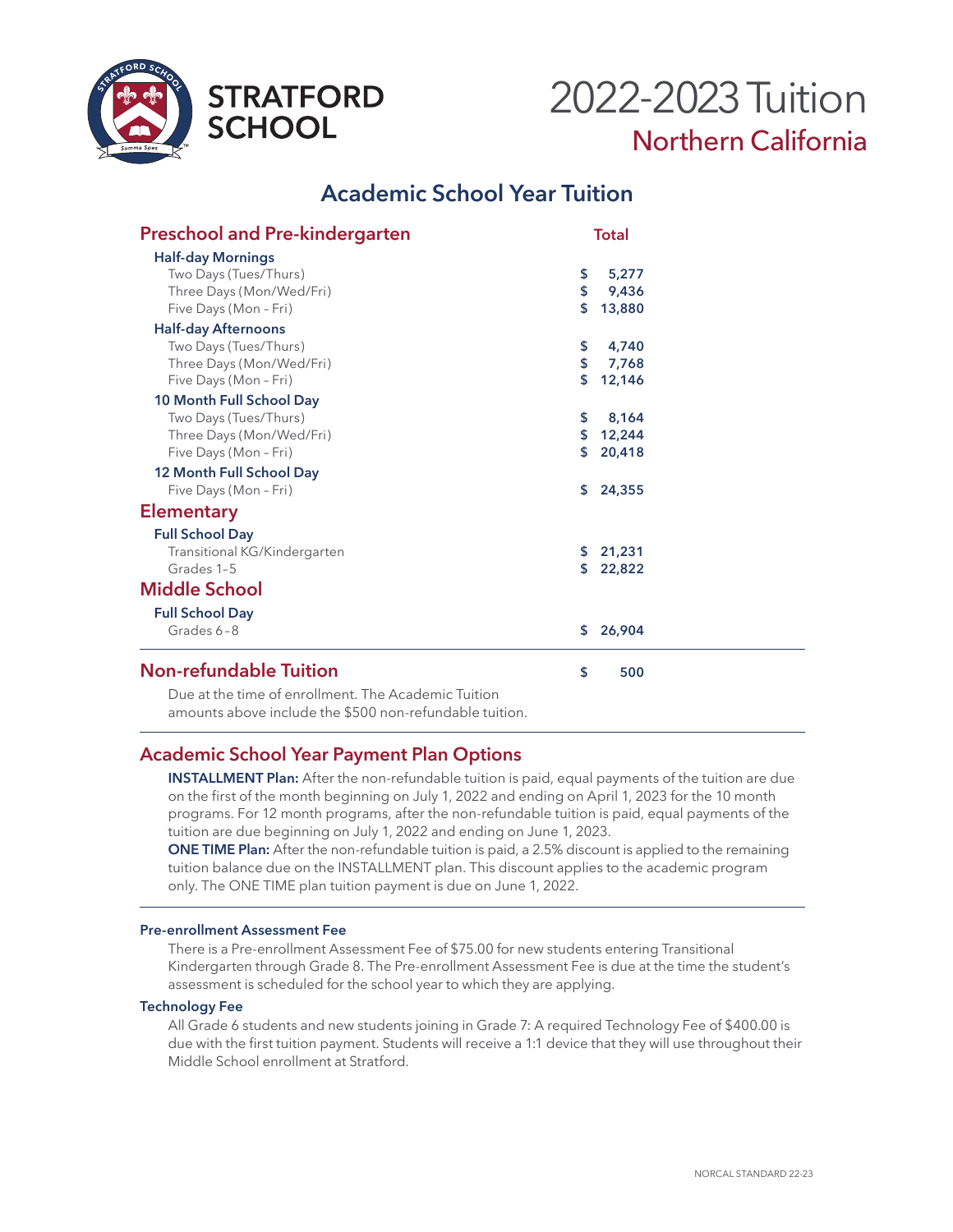



# **Academic School Year Tuition**

| <b>Preschool and Pre-kindergarten</b> | <b>Total</b> |          |  |
|---------------------------------------|--------------|----------|--|
| <b>Half-day Mornings</b>              |              |          |  |
| Two Days (Tues/Thurs)                 | \$           | 5,277    |  |
| Three Days (Mon/Wed/Fri)              | \$           | 9,436    |  |
| Five Days (Mon - Fri)                 | \$           | 13,880   |  |
| <b>Half-day Afternoons</b>            |              |          |  |
| Two Days (Tues/Thurs)                 | \$           | 4,740    |  |
| Three Days (Mon/Wed/Fri)              | \$           | 7,768    |  |
| Five Days (Mon - Fri)                 | \$           | 12,146   |  |
| 10 Month Full School Day              |              |          |  |
| Two Days (Tues/Thurs)                 | \$           | 8,164    |  |
| Three Days (Mon/Wed/Fri)              | \$           | 12,244   |  |
| Five Days (Mon - Fri)                 | \$           | 20,418   |  |
| 12 Month Full School Day              |              |          |  |
| Five Days (Mon - Fri)                 | \$           | 24,355   |  |
| <b>Elementary</b>                     |              |          |  |
| <b>Full School Day</b>                |              |          |  |
| Transitional KG/Kindergarten          |              | \$21,231 |  |
| Grades 1-5                            | S.           | 22,822   |  |
| <b>Middle School</b>                  |              |          |  |
| <b>Full School Day</b>                |              |          |  |
| Grades 6-8                            | S.           | 26,904   |  |
| <b>Non-refundable Tuition</b>         | \$           | 500      |  |
|                                       |              |          |  |

Due at the time of enrollment. The Academic Tuition amounts above include the \$500 non-refundable tuition.

#### **Academic School Year Payment Plan Options**

**INSTALLMENT Plan:** After the non-refundable tuition is paid, equal payments of the tuition are due on the first of the month beginning on July 1, 2022 and ending on April 1, 2023 for the 10 month programs. For 12 month programs, after the non-refundable tuition is paid, equal payments of the tuition are due beginning on July 1, 2022 and ending on June 1, 2023.

**ONE TIME Plan:** After the non-refundable tuition is paid, a 2.5% discount is applied to the remaining tuition balance due on the INSTALLMENT plan. This discount applies to the academic program only. The ONE TIME plan tuition payment is due on June 1, 2022.

#### **Pre-enrollment Assessment Fee**

There is a Pre-enrollment Assessment Fee of \$75.00 for new students entering Transitional Kindergarten through Grade 8. The Pre-enrollment Assessment Fee is due at the time the student's assessment is scheduled for the school year to which they are applying.

#### **Technology Fee**

All Grade 6 students and new students joining in Grade 7: A required Technology Fee of \$400.00 is due with the first tuition payment. Students will receive a 1:1 device that they will use throughout their Middle School enrollment at Stratford.